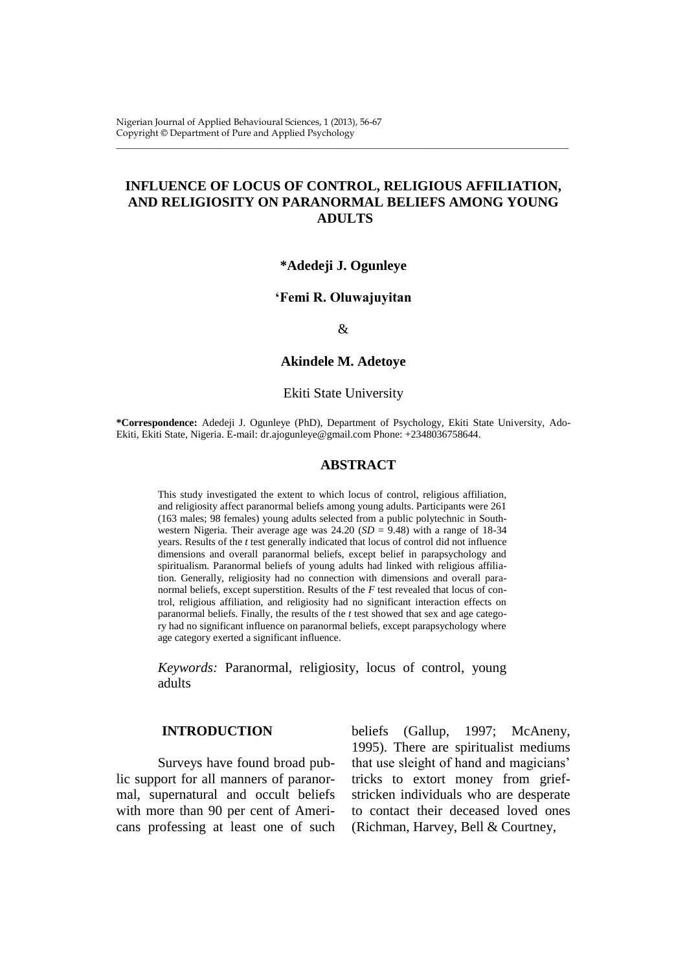Nigerian Journal of Applied Behavioural Sciences, 1 (2013), 56-67 Copyright © Department of Pure and Applied Psychology

# **INFLUENCE OF LOCUS OF CONTROL, RELIGIOUS AFFILIATION, AND RELIGIOSITY ON PARANORMAL BELIEFS AMONG YOUNG ADULTS**

\_\_\_\_\_\_\_\_\_\_\_\_\_\_\_\_\_\_\_\_\_\_\_\_\_\_\_\_\_\_\_\_\_\_\_\_\_\_\_\_\_\_\_\_\_\_\_\_\_\_\_\_\_\_\_\_\_\_\_\_\_\_\_\_\_\_\_\_\_\_\_\_\_\_\_\_\_\_\_\_\_\_\_\_\_\_\_\_\_\_\_\_\_\_\_\_\_\_

### **\*Adedeji J. Ogunleye**

## **'Femi R. Oluwajuyitan**

# &

**Akindele M. Adetoye**

#### Ekiti State University

**\*Correspondence:** Adedeji J. Ogunleye (PhD), Department of Psychology, Ekiti State University, Ado-Ekiti, Ekiti State, Nigeria. E-mail: [dr.ajogunleye@gmail.com](mailto:dr.ajogunleye@gmail.com) Phone: +2348036758644.

### **ABSTRACT**

This study investigated the extent to which locus of control, religious affiliation, and religiosity affect paranormal beliefs among young adults. Participants were 261 (163 males; 98 females) young adults selected from a public polytechnic in Southwestern Nigeria. Their average age was  $24.20$  (*SD* = 9.48) with a range of 18-34 years. Results of the *t* test generally indicated that locus of control did not influence dimensions and overall paranormal beliefs, except belief in parapsychology and spiritualism. Paranormal beliefs of young adults had linked with religious affiliation. Generally, religiosity had no connection with dimensions and overall paranormal beliefs, except superstition. Results of the  $F$  test revealed that locus of control, religious affiliation, and religiosity had no significant interaction effects on paranormal beliefs. Finally, the results of the *t* test showed that sex and age category had no significant influence on paranormal beliefs, except parapsychology where age category exerted a significant influence.

*Keywords:* Paranormal, religiosity, locus of control, young adults

#### **INTRODUCTION**

Surveys have found broad public support for all manners of paranormal, supernatural and occult beliefs with more than 90 per cent of Americans professing at least one of such

beliefs (Gallup, 1997; McAneny, 1995). There are spiritualist mediums that use sleight of hand and magicians' tricks to extort money from griefstricken individuals who are desperate to contact their deceased loved ones (Richman, Harvey, Bell & Courtney,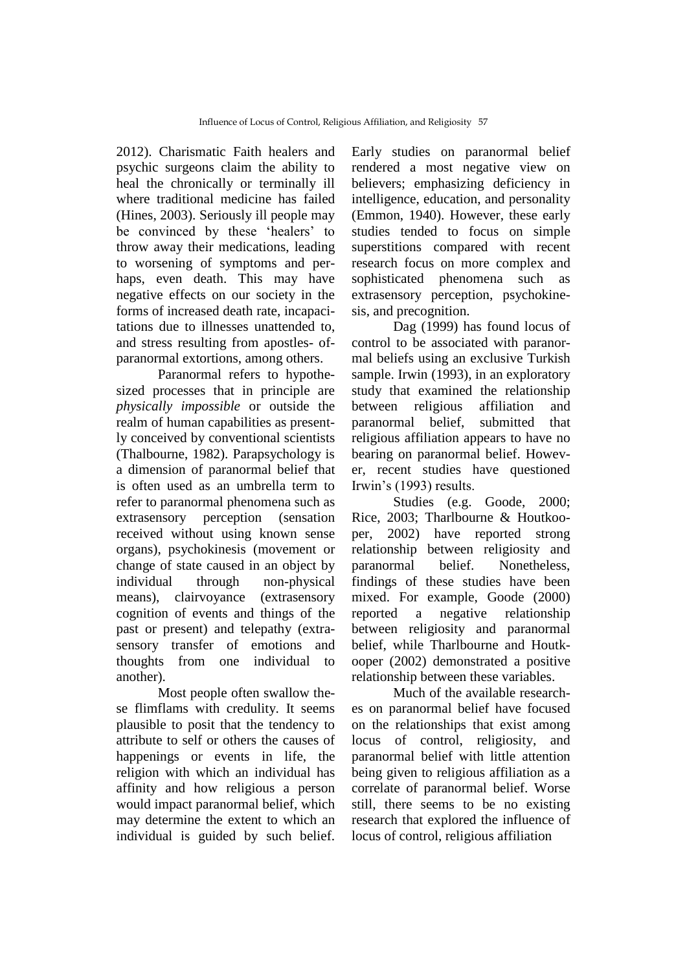2012). Charismatic Faith healers and psychic surgeons claim the ability to heal the chronically or terminally ill where traditional medicine has failed (Hines, 2003). Seriously ill people may be convinced by these 'healers' to throw away their medications, leading to worsening of symptoms and perhaps, even death. This may have negative effects on our society in the forms of increased death rate, incapacitations due to illnesses unattended to, and stress resulting from apostles- ofparanormal extortions, among others.

Paranormal refers to hypothesized processes that in principle are *physically impossible* or outside the realm of human capabilities as presently conceived by conventional scientists (Thalbourne, 1982). Parapsychology is a dimension of paranormal belief that is often used as an umbrella term to refer to paranormal phenomena such as extrasensory perception (sensation received without using known sense organs), psychokinesis (movement or change of state caused in an object by individual through non-physical means), clairvoyance (extrasensory cognition of events and things of the past or present) and telepathy (extrasensory transfer of emotions and thoughts from one individual to another).

Most people often swallow these flimflams with credulity. It seems plausible to posit that the tendency to attribute to self or others the causes of happenings or events in life, the religion with which an individual has affinity and how religious a person would impact paranormal belief, which may determine the extent to which an individual is guided by such belief.

Early studies on paranormal belief rendered a most negative view on believers; emphasizing deficiency in intelligence, education, and personality (Emmon, 1940). However, these early studies tended to focus on simple superstitions compared with recent research focus on more complex and sophisticated phenomena such as extrasensory perception, psychokinesis, and precognition.

Dag (1999) has found locus of control to be associated with paranormal beliefs using an exclusive Turkish sample. Irwin (1993), in an exploratory study that examined the relationship between religious affiliation and paranormal belief, submitted that religious affiliation appears to have no bearing on paranormal belief. However, recent studies have questioned Irwin"s (1993) results.

Studies (e.g. Goode, 2000; Rice, 2003; Tharlbourne & Houtkooper, 2002) have reported strong relationship between religiosity and paranormal belief. Nonetheless, findings of these studies have been mixed. For example, Goode (2000) reported a negative relationship between religiosity and paranormal belief, while Tharlbourne and Houtkooper (2002) demonstrated a positive relationship between these variables.

Much of the available researches on paranormal belief have focused on the relationships that exist among locus of control, religiosity, and paranormal belief with little attention being given to religious affiliation as a correlate of paranormal belief. Worse still, there seems to be no existing research that explored the influence of locus of control, religious affiliation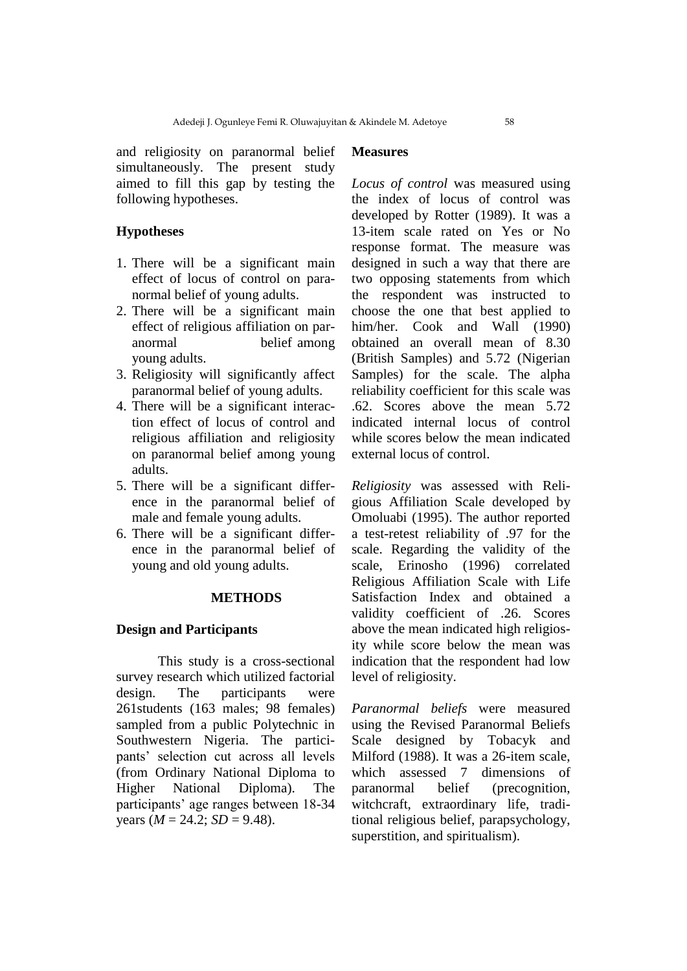and religiosity on paranormal belief simultaneously. The present study aimed to fill this gap by testing the following hypotheses.

# **Hypotheses**

- 1. There will be a significant main effect of locus of control on paranormal belief of young adults.
- 2. There will be a significant main effect of religious affiliation on paranormal belief among young adults.
- 3. Religiosity will significantly affect paranormal belief of young adults.
- 4. There will be a significant interaction effect of locus of control and religious affiliation and religiosity on paranormal belief among young adults.
- 5. There will be a significant difference in the paranormal belief of male and female young adults.
- 6. There will be a significant difference in the paranormal belief of young and old young adults.

#### **METHODS**

### **Design and Participants**

This study is a cross-sectional survey research which utilized factorial design. The participants were 261students (163 males; 98 females) sampled from a public Polytechnic in Southwestern Nigeria. The participants" selection cut across all levels (from Ordinary National Diploma to Higher National Diploma). The participants" age ranges between 18-34 years  $(M = 24.2; SD = 9.48)$ .

# **Measures**

*Locus of control* was measured using the index of locus of control was developed by Rotter (1989). It was a 13-item scale rated on Yes or No response format. The measure was designed in such a way that there are two opposing statements from which the respondent was instructed to choose the one that best applied to him/her. Cook and Wall (1990) obtained an overall mean of 8.30 (British Samples) and 5.72 (Nigerian Samples) for the scale. The alpha reliability coefficient for this scale was .62. Scores above the mean 5.72 indicated internal locus of control while scores below the mean indicated external locus of control.

*Religiosity* was assessed with Religious Affiliation Scale developed by Omoluabi (1995). The author reported a test-retest reliability of .97 for the scale. Regarding the validity of the scale, Erinosho (1996) correlated Religious Affiliation Scale with Life Satisfaction Index and obtained a validity coefficient of .26. Scores above the mean indicated high religiosity while score below the mean was indication that the respondent had low level of religiosity.

*Paranormal beliefs* were measured using the Revised Paranormal Beliefs Scale designed by Tobacyk and Milford (1988). It was a 26-item scale, which assessed 7 dimensions of paranormal belief (precognition, witchcraft, extraordinary life, traditional religious belief, parapsychology, superstition, and spiritualism).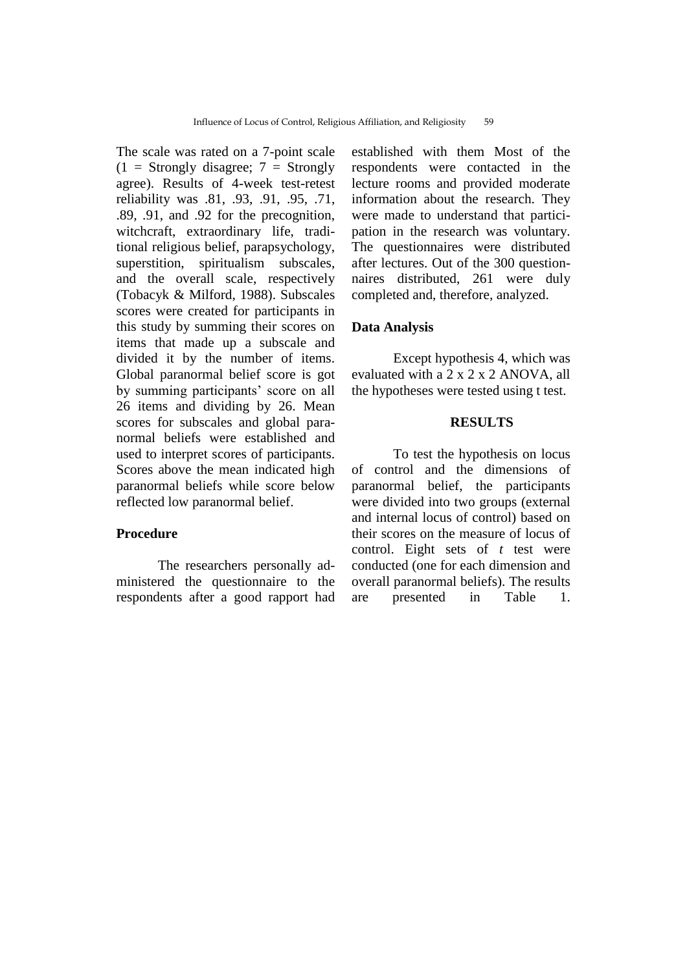The scale was rated on a 7-point scale  $(1 =$  Strongly disagree;  $7 =$  Strongly agree). Results of 4-week test-retest reliability was .81, .93, .91, .95, .71, .89, .91, and .92 for the precognition, witchcraft, extraordinary life, traditional religious belief, parapsychology, superstition, spiritualism subscales, and the overall scale, respectively (Tobacyk & Milford, 1988). Subscales scores were created for participants in this study by summing their scores on items that made up a subscale and divided it by the number of items. Global paranormal belief score is got by summing participants' score on all 26 items and dividing by 26. Mean scores for subscales and global paranormal beliefs were established and used to interpret scores of participants. Scores above the mean indicated high paranormal beliefs while score below reflected low paranormal belief.

#### **Procedure**

The researchers personally administered the questionnaire to the respondents after a good rapport had established with them Most of the respondents were contacted in the lecture rooms and provided moderate information about the research. They were made to understand that participation in the research was voluntary. The questionnaires were distributed after lectures. Out of the 300 questionnaires distributed, 261 were duly completed and, therefore, analyzed.

### **Data Analysis**

Except hypothesis 4, which was evaluated with a 2 x 2 x 2 ANOVA, all the hypotheses were tested using t test.

# **RESULTS**

To test the hypothesis on locus of control and the dimensions of paranormal belief, the participants were divided into two groups (external and internal locus of control) based on their scores on the measure of locus of control. Eight sets of *t* test were conducted (one for each dimension and overall paranormal beliefs). The results are presented in Table 1.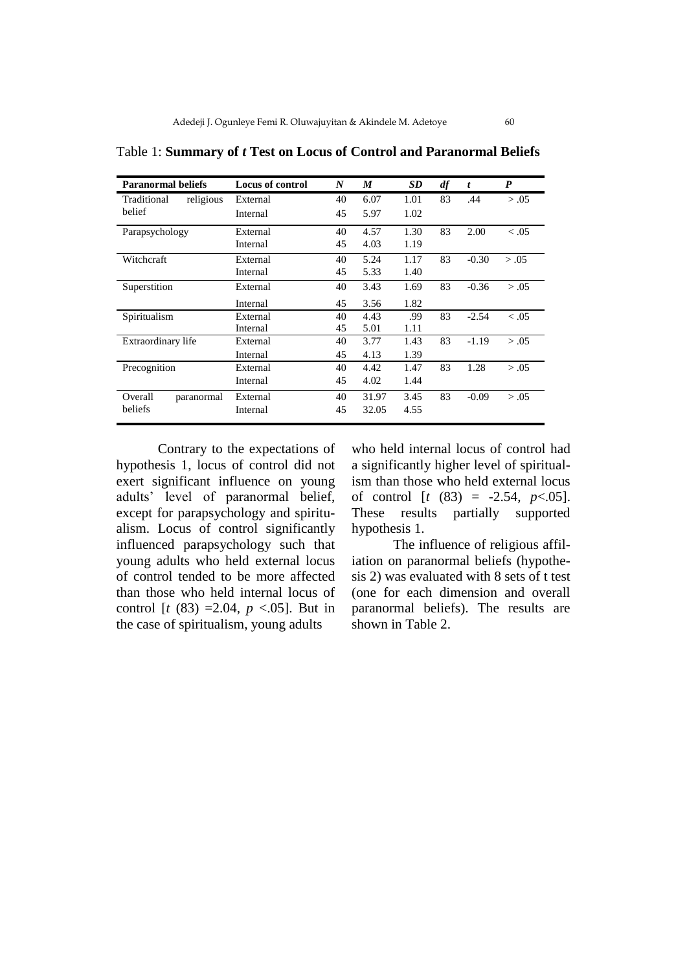| <b>Paranormal beliefs</b> | <b>Locus of control</b> | N  | M     | SD.  | df | t       | $\boldsymbol{P}$ |
|---------------------------|-------------------------|----|-------|------|----|---------|------------------|
| religious<br>Traditional  | External                | 40 | 6.07  | 1.01 | 83 | .44     | > .05            |
| belief                    | Internal                | 45 | 5.97  | 1.02 |    |         |                  |
| Parapsychology            | External                | 40 | 4.57  | 1.30 | 83 | 2.00    | < 0.05           |
|                           | Internal                | 45 | 4.03  | 1.19 |    |         |                  |
| Witchcraft                | External                | 40 | 5.24  | 1.17 | 83 | $-0.30$ | > .05            |
|                           | Internal                | 45 | 5.33  | 1.40 |    |         |                  |
| Superstition              | External                | 40 | 3.43  | 1.69 | 83 | $-0.36$ | > .05            |
|                           | Internal                | 45 | 3.56  | 1.82 |    |         |                  |
| Spiritualism              | External                | 40 | 4.43  | .99  | 83 | $-2.54$ | < 0.05           |
|                           | Internal                | 45 | 5.01  | 1.11 |    |         |                  |
| Extraordinary life        | External                | 40 | 3.77  | 1.43 | 83 | $-1.19$ | > .05            |
|                           | Internal                | 45 | 4.13  | 1.39 |    |         |                  |
| Precognition              | External                | 40 | 4.42  | 1.47 | 83 | 1.28    | > .05            |
|                           | Internal                | 45 | 4.02  | 1.44 |    |         |                  |
| Overall<br>paranormal     | External                | 40 | 31.97 | 3.45 | 83 | $-0.09$ | > .05            |
| beliefs                   | Internal                | 45 | 32.05 | 4.55 |    |         |                  |

Table 1: **Summary of** *t* **Test on Locus of Control and Paranormal Beliefs**

Contrary to the expectations of hypothesis 1, locus of control did not exert significant influence on young adults" level of paranormal belief, except for parapsychology and spiritualism. Locus of control significantly influenced parapsychology such that young adults who held external locus of control tended to be more affected than those who held internal locus of control  $[t (83) = 2.04, p < .05]$ . But in the case of spiritualism, young adults

who held internal locus of control had a significantly higher level of spiritualism than those who held external locus of control  $[t (83) = -2.54, p < .05]$ . These results partially supported hypothesis 1.

The influence of religious affiliation on paranormal beliefs (hypothesis 2) was evaluated with 8 sets of t test (one for each dimension and overall paranormal beliefs). The results are shown in Table 2.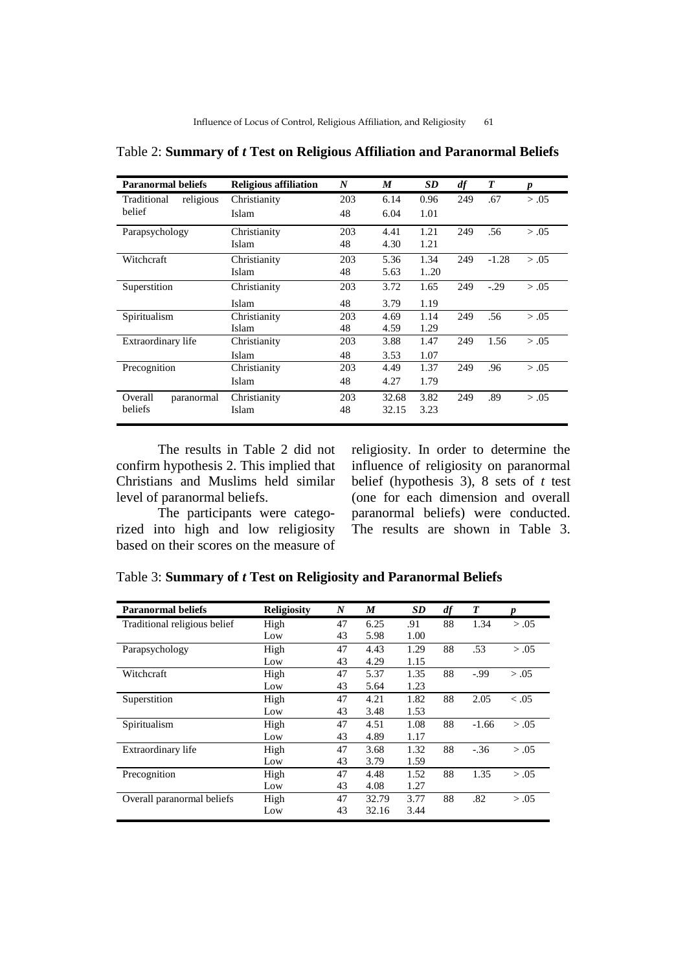| <b>Paranormal beliefs</b> | <b>Religious affiliation</b> | N   | M     | <b>SD</b> | df  | T       | p     |
|---------------------------|------------------------------|-----|-------|-----------|-----|---------|-------|
| Traditional<br>religious  | Christianity                 | 203 | 6.14  | 0.96      | 249 | .67     | > .05 |
| belief                    | Islam                        | 48  | 6.04  | 1.01      |     |         |       |
| Parapsychology            | Christianity                 | 203 | 4.41  | 1.21      | 249 | .56     | > .05 |
|                           | Islam                        | 48  | 4.30  | 1.21      |     |         |       |
| <b>Witchcraft</b>         | Christianity                 | 203 | 5.36  | 1.34      | 249 | $-1.28$ | > .05 |
|                           | Islam                        | 48  | 5.63  | 120       |     |         |       |
| Superstition              | Christianity                 | 203 | 3.72  | 1.65      | 249 | $-.29$  | > .05 |
|                           | Islam                        | 48  | 3.79  | 1.19      |     |         |       |
| Spiritualism              | Christianity                 | 203 | 4.69  | 1.14      | 249 | .56     | > .05 |
|                           | Islam                        | 48  | 4.59  | 1.29      |     |         |       |
| Extraordinary life        | Christianity                 | 203 | 3.88  | 1.47      | 249 | 1.56    | > .05 |
|                           | <b>Islam</b>                 | 48  | 3.53  | 1.07      |     |         |       |
| Precognition              | Christianity                 | 203 | 4.49  | 1.37      | 249 | .96     | > .05 |
|                           | Islam                        | 48  | 4.27  | 1.79      |     |         |       |
| Overall<br>paranormal     | Christianity                 | 203 | 32.68 | 3.82      | 249 | .89     | > .05 |
| beliefs                   | Islam                        | 48  | 32.15 | 3.23      |     |         |       |

Table 2: **Summary of** *t* **Test on Religious Affiliation and Paranormal Beliefs**

The results in Table 2 did not confirm hypothesis 2. This implied that Christians and Muslims held similar level of paranormal beliefs.

The participants were categorized into high and low religiosity based on their scores on the measure of religiosity. In order to determine the influence of religiosity on paranormal belief (hypothesis 3), 8 sets of *t* test (one for each dimension and overall paranormal beliefs) were conducted. The results are shown in Table 3.

Table 3: **Summary of** *t* **Test on Religiosity and Paranormal Beliefs**

| <b>Paranormal beliefs</b>    | <b>Religiosity</b> | N  | M     | SD   | df | T       |        |
|------------------------------|--------------------|----|-------|------|----|---------|--------|
| Traditional religious belief | High               | 47 | 6.25  | .91  | 88 | 1.34    | > .05  |
|                              | Low                | 43 | 5.98  | 1.00 |    |         |        |
| Parapsychology               | High               | 47 | 4.43  | 1.29 | 88 | .53     | > .05  |
|                              | Low                | 43 | 4.29  | 1.15 |    |         |        |
| Witchcraft                   | High               | 47 | 5.37  | 1.35 | 88 | $-.99$  | > .05  |
|                              | Low                | 43 | 5.64  | 1.23 |    |         |        |
| Superstition                 | High               | 47 | 4.21  | 1.82 | 88 | 2.05    | < 0.05 |
|                              | Low                | 43 | 3.48  | 1.53 |    |         |        |
| Spiritualism                 | High               | 47 | 4.51  | 1.08 | 88 | $-1.66$ | > .05  |
|                              | Low                | 43 | 4.89  | 1.17 |    |         |        |
| Extraordinary life           | High               | 47 | 3.68  | 1.32 | 88 | $-.36$  | > .05  |
|                              | Low                | 43 | 3.79  | 1.59 |    |         |        |
| Precognition                 | High               | 47 | 4.48  | 1.52 | 88 | 1.35    | > .05  |
|                              | Low                | 43 | 4.08  | 1.27 |    |         |        |
| Overall paranormal beliefs   | High               | 47 | 32.79 | 3.77 | 88 | .82     | > .05  |
|                              | Low                | 43 | 32.16 | 3.44 |    |         |        |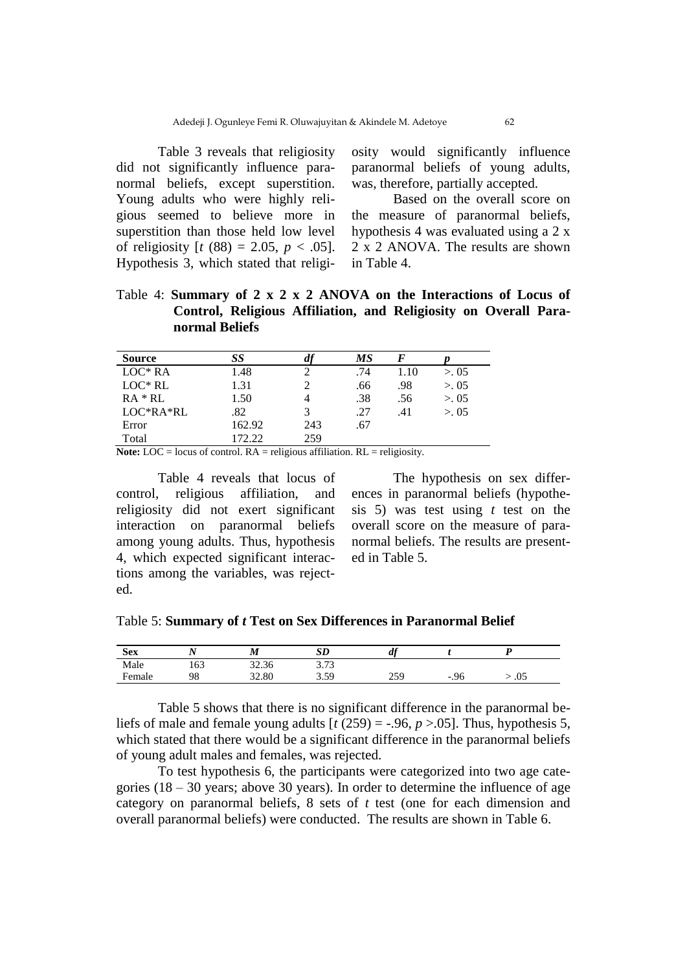Table 3 reveals that religiosity did not significantly influence paranormal beliefs, except superstition. Young adults who were highly religious seemed to believe more in superstition than those held low level of religiosity  $[t (88) = 2.05, p < .05]$ . Hypothesis 3, which stated that religiosity would significantly influence paranormal beliefs of young adults, was, therefore, partially accepted.

Based on the overall score on the measure of paranormal beliefs, hypothesis 4 was evaluated using a 2 x 2 x 2 ANOVA. The results are shown in Table 4.

# Table 4: **Summary of 2 x 2 x 2 ANOVA on the Interactions of Locus of Control, Religious Affiliation, and Religiosity on Overall Paranormal Beliefs**

| <b>Source</b> | SS     | $d$ f | MS  |      |        |  |
|---------------|--------|-------|-----|------|--------|--|
| $LOC*RA$      | 1.48   |       | .74 | 1.10 | > 0.05 |  |
| $LOC*RL$      | 1.31   |       | .66 | .98  | > 0.05 |  |
| $RA * RL$     | 1.50   |       | .38 | .56  | > 0.05 |  |
| $LOC*RA*RL$   | .82    | 3     | .27 | .41  | > 0.05 |  |
| Error         | 162.92 | 243   | .67 |      |        |  |
| Total         | 172.22 | 259   |     |      |        |  |

**Note:** LOC = locus of control.  $RA$  = religious affiliation.  $RL$  = religiosity.

Table 4 reveals that locus of control, religious affiliation, and religiosity did not exert significant interaction on paranormal beliefs among young adults. Thus, hypothesis 4, which expected significant interactions among the variables, was rejected.

The hypothesis on sex differences in paranormal beliefs (hypothesis 5) was test using *t* test on the overall score on the measure of paranormal beliefs. The results are presented in Table 5.

| <b>Sex</b> | . .           | M            | SD             | $\mathbf{r}$<br>u |                                 |     |  |
|------------|---------------|--------------|----------------|-------------------|---------------------------------|-----|--|
| Male       | $\sim$<br>163 | 222<br>32.36 | 2.72<br>3.13   |                   |                                 |     |  |
| Female     | 98            | 32.80        | 3.59<br>ر ر. ر | 25Ο<br>ر ف ک      | .96<br>$\overline{\phantom{0}}$ | .05 |  |

Table 5 shows that there is no significant difference in the paranormal beliefs of male and female young adults  $[t (259) = -.96, p > .05]$ . Thus, hypothesis 5, which stated that there would be a significant difference in the paranormal beliefs of young adult males and females, was rejected.

To test hypothesis 6, the participants were categorized into two age categories  $(18 - 30$  years; above 30 years). In order to determine the influence of age category on paranormal beliefs, 8 sets of *t* test (one for each dimension and overall paranormal beliefs) were conducted. The results are shown in Table 6.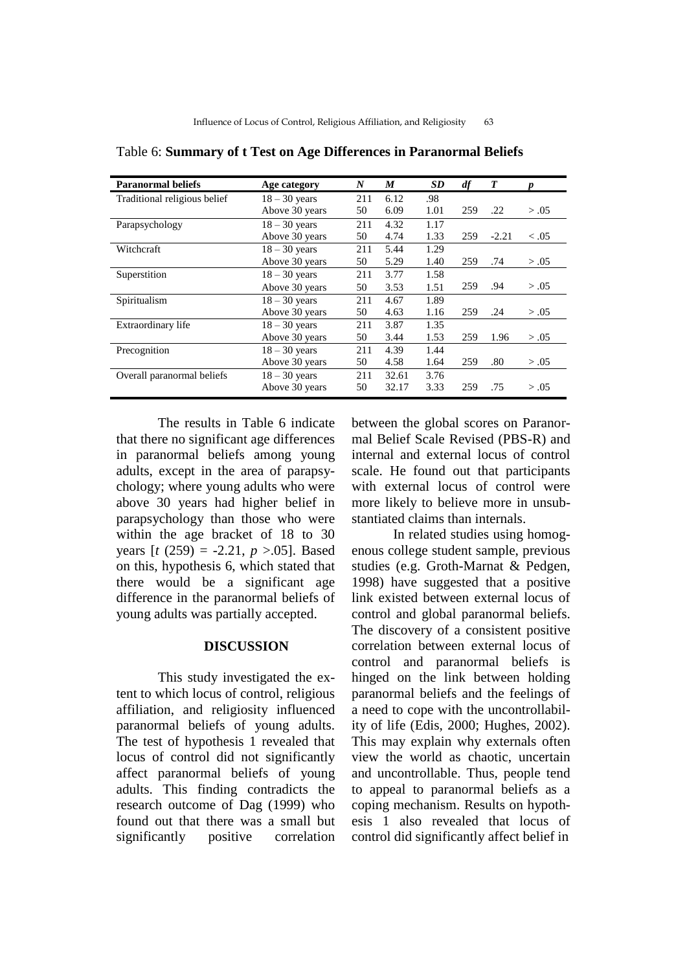| <b>Paranormal beliefs</b>    | Age category    | N   | M     | <b>SD</b> | df  | T       |        |
|------------------------------|-----------------|-----|-------|-----------|-----|---------|--------|
| Traditional religious belief | $18 - 30$ years | 211 | 6.12  | .98       |     |         |        |
|                              | Above 30 years  | 50  | 6.09  | 1.01      | 259 | .22     | > .05  |
| Parapsychology               | $18 - 30$ years | 211 | 4.32  | 1.17      |     |         |        |
|                              | Above 30 years  | 50  | 4.74  | 1.33      | 259 | $-2.21$ | < 0.05 |
| Witchcraft                   | $18 - 30$ years | 211 | 5.44  | 1.29      |     |         |        |
|                              | Above 30 years  | 50  | 5.29  | 1.40      | 259 | .74     | > .05  |
| Superstition                 | $18 - 30$ years | 211 | 3.77  | 1.58      |     |         |        |
|                              | Above 30 years  | 50  | 3.53  | 1.51      | 259 | .94     | > .05  |
| Spiritualism                 | $18 - 30$ years | 211 | 4.67  | 1.89      |     |         |        |
|                              | Above 30 years  | 50  | 4.63  | 1.16      | 259 | .24     | > .05  |
| Extraordinary life           | $18 - 30$ years | 211 | 3.87  | 1.35      |     |         |        |
|                              | Above 30 years  | 50  | 3.44  | 1.53      | 259 | 1.96    | > .05  |
| Precognition                 | $18 - 30$ years | 211 | 4.39  | 1.44      |     |         |        |
|                              | Above 30 years  | 50  | 4.58  | 1.64      | 259 | .80     | > .05  |
| Overall paranormal beliefs   | $18 - 30$ years | 211 | 32.61 | 3.76      |     |         |        |
|                              | Above 30 years  | 50  | 32.17 | 3.33      | 259 | .75     | > .05  |

Table 6: **Summary of t Test on Age Differences in Paranormal Beliefs**

The results in Table 6 indicate that there no significant age differences in paranormal beliefs among young adults, except in the area of parapsychology; where young adults who were above 30 years had higher belief in parapsychology than those who were within the age bracket of 18 to 30 years [*t* (259) = -2.21, *p* >.05]. Based on this, hypothesis 6, which stated that there would be a significant age difference in the paranormal beliefs of young adults was partially accepted.

### **DISCUSSION**

This study investigated the extent to which locus of control, religious affiliation, and religiosity influenced paranormal beliefs of young adults. The test of hypothesis 1 revealed that locus of control did not significantly affect paranormal beliefs of young adults. This finding contradicts the research outcome of Dag (1999) who found out that there was a small but significantly positive correlation between the global scores on Paranormal Belief Scale Revised (PBS-R) and internal and external locus of control scale. He found out that participants with external locus of control were more likely to believe more in unsubstantiated claims than internals.

In related studies using homogenous college student sample, previous studies (e.g. Groth-Marnat & Pedgen, 1998) have suggested that a positive link existed between external locus of control and global paranormal beliefs. The discovery of a consistent positive correlation between external locus of control and paranormal beliefs is hinged on the link between holding paranormal beliefs and the feelings of a need to cope with the uncontrollability of life (Edis, 2000; Hughes, 2002). This may explain why externals often view the world as chaotic, uncertain and uncontrollable. Thus, people tend to appeal to paranormal beliefs as a coping mechanism. Results on hypothesis 1 also revealed that locus of control did significantly affect belief in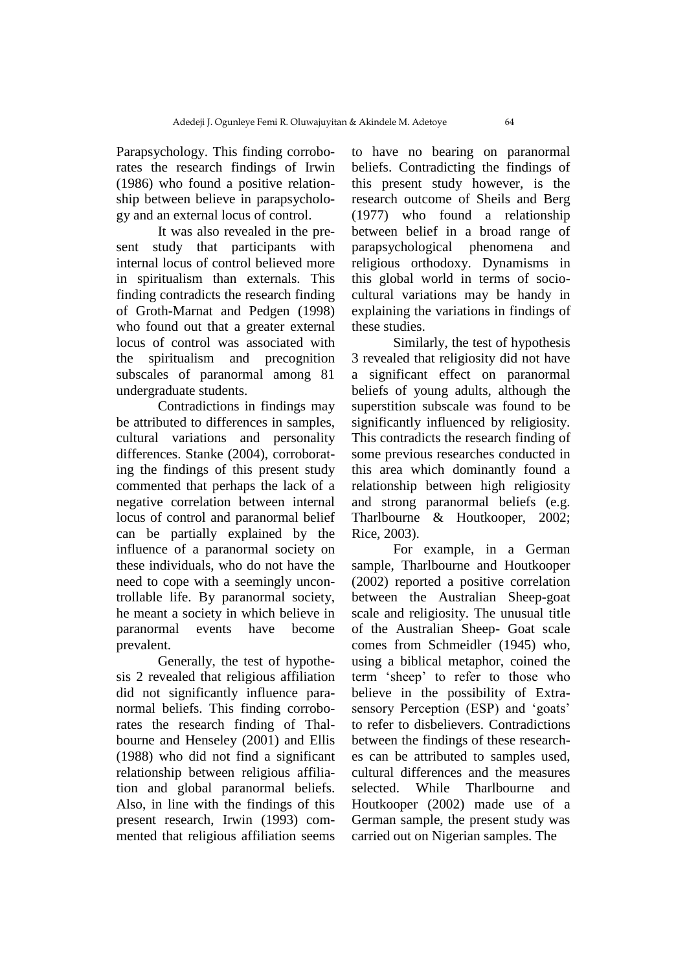Parapsychology. This finding corroborates the research findings of Irwin (1986) who found a positive relationship between believe in parapsychology and an external locus of control.

It was also revealed in the present study that participants with internal locus of control believed more in spiritualism than externals. This finding contradicts the research finding of Groth-Marnat and Pedgen (1998) who found out that a greater external locus of control was associated with the spiritualism and precognition subscales of paranormal among 81 undergraduate students.

Contradictions in findings may be attributed to differences in samples, cultural variations and personality differences. Stanke (2004), corroborating the findings of this present study commented that perhaps the lack of a negative correlation between internal locus of control and paranormal belief can be partially explained by the influence of a paranormal society on these individuals, who do not have the need to cope with a seemingly uncontrollable life. By paranormal society, he meant a society in which believe in paranormal events have become prevalent.

Generally, the test of hypothesis 2 revealed that religious affiliation did not significantly influence paranormal beliefs. This finding corroborates the research finding of Thalbourne and Henseley (2001) and Ellis (1988) who did not find a significant relationship between religious affiliation and global paranormal beliefs. Also, in line with the findings of this present research, Irwin (1993) commented that religious affiliation seems to have no bearing on paranormal beliefs. Contradicting the findings of this present study however, is the research outcome of Sheils and Berg (1977) who found a relationship between belief in a broad range of parapsychological phenomena and religious orthodoxy. Dynamisms in this global world in terms of sociocultural variations may be handy in explaining the variations in findings of these studies.

Similarly, the test of hypothesis 3 revealed that religiosity did not have a significant effect on paranormal beliefs of young adults, although the superstition subscale was found to be significantly influenced by religiosity. This contradicts the research finding of some previous researches conducted in this area which dominantly found a relationship between high religiosity and strong paranormal beliefs (e.g. Tharlbourne & Houtkooper, 2002; Rice, 2003).

For example, in a German sample, Tharlbourne and Houtkooper (2002) reported a positive correlation between the Australian Sheep-goat scale and religiosity. The unusual title of the Australian Sheep- Goat scale comes from Schmeidler (1945) who, using a biblical metaphor, coined the term "sheep" to refer to those who believe in the possibility of Extrasensory Perception (ESP) and 'goats' to refer to disbelievers. Contradictions between the findings of these researches can be attributed to samples used, cultural differences and the measures selected. While Tharlbourne and Houtkooper (2002) made use of a German sample, the present study was carried out on Nigerian samples. The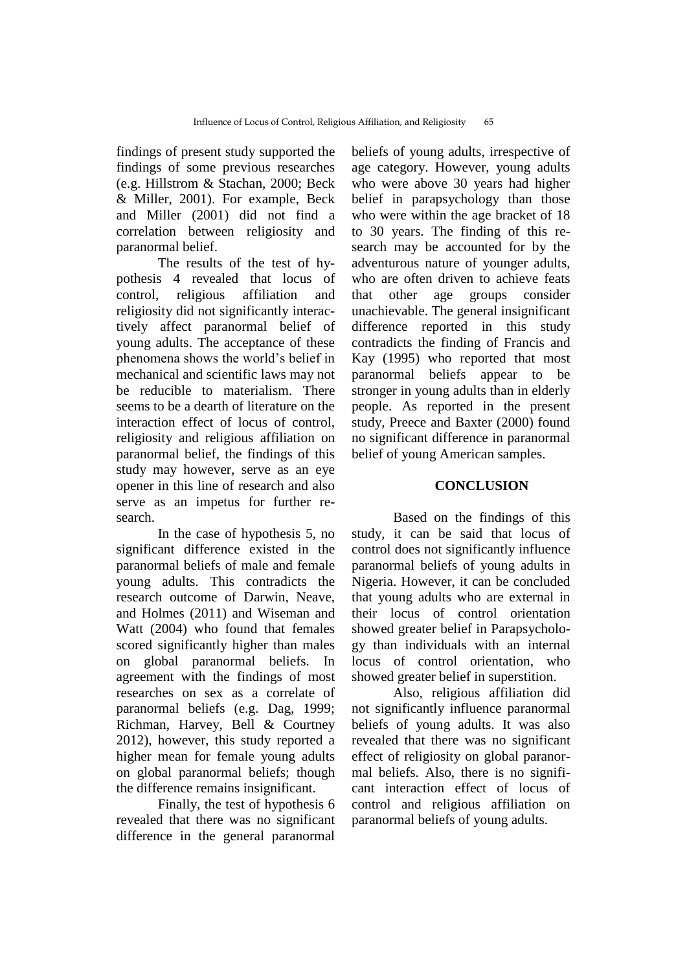findings of present study supported the findings of some previous researches (e.g. Hillstrom & Stachan, 2000; Beck & Miller, 2001). For example, Beck and Miller (2001) did not find a correlation between religiosity and paranormal belief.

The results of the test of hypothesis 4 revealed that locus of control, religious affiliation and religiosity did not significantly interactively affect paranormal belief of young adults. The acceptance of these phenomena shows the world"s belief in mechanical and scientific laws may not be reducible to materialism. There seems to be a dearth of literature on the interaction effect of locus of control, religiosity and religious affiliation on paranormal belief, the findings of this study may however, serve as an eye opener in this line of research and also serve as an impetus for further research.

In the case of hypothesis 5, no significant difference existed in the paranormal beliefs of male and female young adults. This contradicts the research outcome of Darwin, Neave, and Holmes (2011) and Wiseman and Watt (2004) who found that females scored significantly higher than males on global paranormal beliefs. In agreement with the findings of most researches on sex as a correlate of paranormal beliefs (e.g. Dag, 1999; Richman, Harvey, Bell & Courtney 2012), however, this study reported a higher mean for female young adults on global paranormal beliefs; though the difference remains insignificant.

Finally, the test of hypothesis 6 revealed that there was no significant difference in the general paranormal

beliefs of young adults, irrespective of age category. However, young adults who were above 30 years had higher belief in parapsychology than those who were within the age bracket of 18 to 30 years. The finding of this research may be accounted for by the adventurous nature of younger adults, who are often driven to achieve feats that other age groups consider unachievable. The general insignificant difference reported in this study contradicts the finding of Francis and Kay (1995) who reported that most paranormal beliefs appear to be stronger in young adults than in elderly people. As reported in the present study, Preece and Baxter (2000) found no significant difference in paranormal belief of young American samples.

# **CONCLUSION**

Based on the findings of this study, it can be said that locus of control does not significantly influence paranormal beliefs of young adults in Nigeria. However, it can be concluded that young adults who are external in their locus of control orientation showed greater belief in Parapsychology than individuals with an internal locus of control orientation, who showed greater belief in superstition.

Also, religious affiliation did not significantly influence paranormal beliefs of young adults. It was also revealed that there was no significant effect of religiosity on global paranormal beliefs. Also, there is no significant interaction effect of locus of control and religious affiliation on paranormal beliefs of young adults.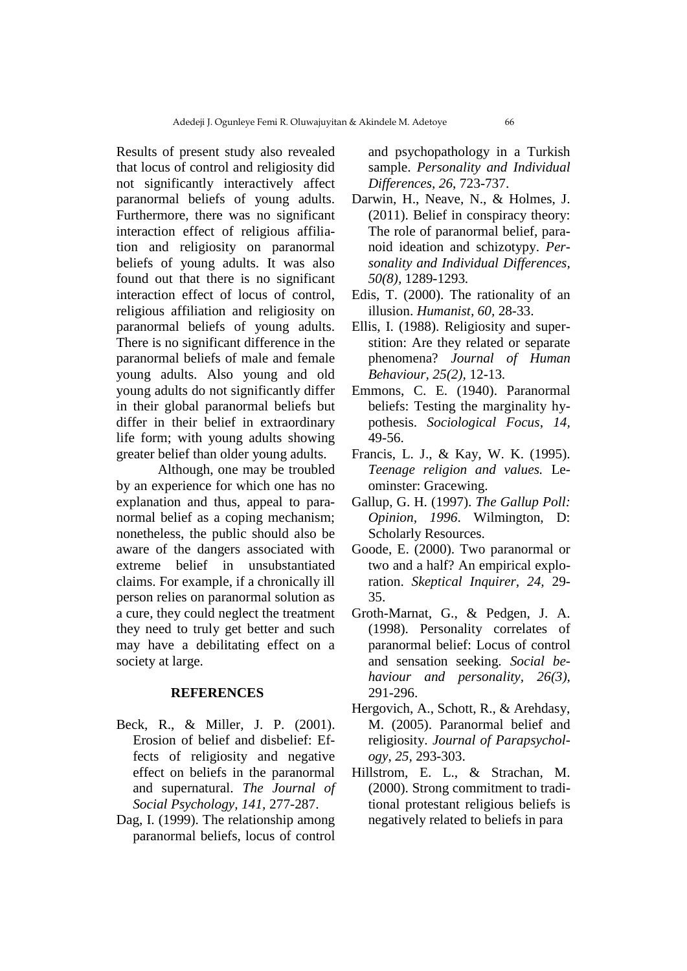Results of present study also revealed that locus of control and religiosity did not significantly interactively affect paranormal beliefs of young adults. Furthermore, there was no significant interaction effect of religious affiliation and religiosity on paranormal beliefs of young adults. It was also found out that there is no significant interaction effect of locus of control, religious affiliation and religiosity on paranormal beliefs of young adults. There is no significant difference in the paranormal beliefs of male and female young adults. Also young and old young adults do not significantly differ in their global paranormal beliefs but differ in their belief in extraordinary life form; with young adults showing greater belief than older young adults.

Although, one may be troubled by an experience for which one has no explanation and thus, appeal to paranormal belief as a coping mechanism; nonetheless, the public should also be aware of the dangers associated with extreme belief in unsubstantiated claims. For example, if a chronically ill person relies on paranormal solution as a cure, they could neglect the treatment they need to truly get better and such may have a debilitating effect on a society at large.

#### **REFERENCES**

- Beck, R., & Miller, J. P. (2001). Erosion of belief and disbelief: Effects of religiosity and negative effect on beliefs in the paranormal and supernatural. *The Journal of Social Psychology, 141,* 277-287.
- Dag, I. (1999). The relationship among paranormal beliefs, locus of control

and psychopathology in a Turkish sample. *Personality and Individual Differences, 26*, 723-737.

- Darwin, H., Neave, N., & Holmes, J. (2011). Belief in conspiracy theory: The role of paranormal belief, paranoid ideation and schizotypy. *Personality and Individual Differences, 50(8),* 1289-1293*.*
- Edis, T. (2000). The rationality of an illusion. *Humanist, 60,* 28-33.
- Ellis, I. (1988). Religiosity and superstition: Are they related or separate phenomena? *Journal of Human Behaviour, 25(2),* 12-13*.*
- Emmons, C. E. (1940). Paranormal beliefs: Testing the marginality hypothesis. *Sociological Focus*, *14,* 49-56.
- Francis, L. J., & Kay, W. K. (1995). *Teenage religion and values.* Leominster: Gracewing.
- Gallup, G. H. (1997). *The Gallup Poll: Opinion, 1996*. Wilmington, D: Scholarly Resources.
- Goode, E. (2000). Two paranormal or two and a half? An empirical exploration. *Skeptical Inquirer, 24,* 29- 35.
- Groth-Marnat, G., & Pedgen, J. A. (1998). Personality correlates of paranormal belief: Locus of control and sensation seeking. *Social behaviour and personality, 26(3),* 291-296.
- Hergovich, A., Schott, R., & Arehdasy, M. (2005). Paranormal belief and religiosity. *Journal of Parapsychology*, *25,* 293-303.
- Hillstrom, E. L., & Strachan, M. (2000). Strong commitment to traditional protestant religious beliefs is negatively related to beliefs in para